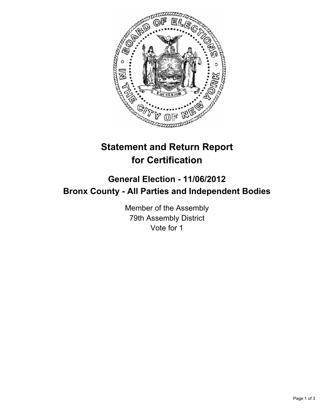

## **Statement and Return Report for Certification**

## **General Election - 11/06/2012 Bronx County - All Parties and Independent Bodies**

Member of the Assembly 79th Assembly District Vote for 1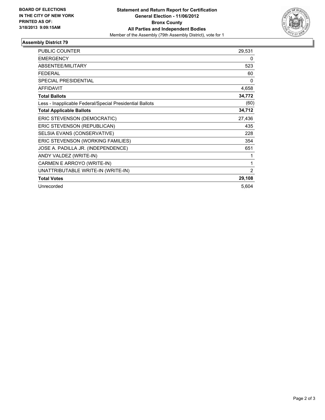

## **Assembly District 79**

| <b>PUBLIC COUNTER</b>                                    | 29,531 |
|----------------------------------------------------------|--------|
| <b>EMERGENCY</b>                                         | 0      |
| <b>ABSENTEE/MILITARY</b>                                 | 523    |
| <b>FEDERAL</b>                                           | 60     |
| <b>SPECIAL PRESIDENTIAL</b>                              | 0      |
| <b>AFFIDAVIT</b>                                         | 4,658  |
| <b>Total Ballots</b>                                     | 34,772 |
| Less - Inapplicable Federal/Special Presidential Ballots | (60)   |
| <b>Total Applicable Ballots</b>                          | 34,712 |
| ERIC STEVENSON (DEMOCRATIC)                              | 27,436 |
| ERIC STEVENSON (REPUBLICAN)                              | 435    |
| SELSIA EVANS (CONSERVATIVE)                              | 228    |
| ERIC STEVENSON (WORKING FAMILIES)                        | 354    |
| JOSE A. PADILLA JR. (INDEPENDENCE)                       | 651    |
| ANDY VALDEZ (WRITE-IN)                                   |        |
| CARMEN E ARROYO (WRITE-IN)                               | 1      |
| UNATTRIBUTABLE WRITE-IN (WRITE-IN)                       | 2      |
| <b>Total Votes</b>                                       | 29,108 |
| Unrecorded                                               | 5,604  |